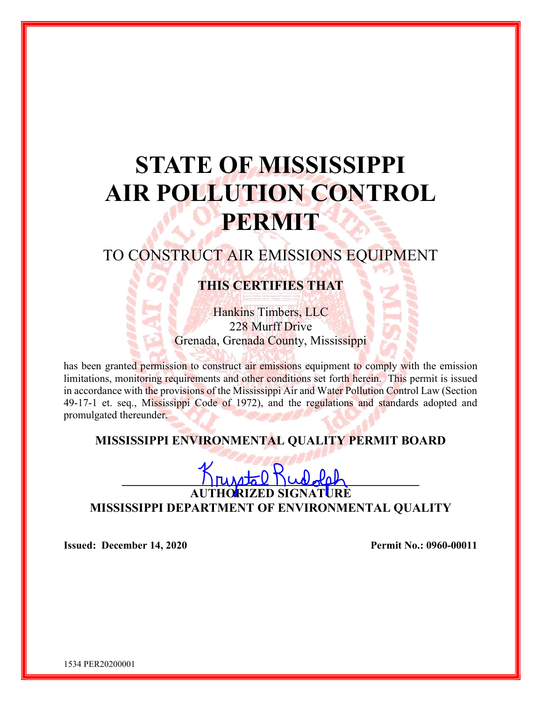# STATE OF MISSISSIPPI AIR POLLUTION CONTROL **PERMIT**

# TO CONSTRUCT AIR EMISSIONS EQUIPMENT

# THIS CERTIFIES THAT

Hankins Timbers, LLC 228 Murff Drive Grenada, Grenada County, Mississippi

has been granted permission to construct air emissions equipment to comply with the emission limitations, monitoring requirements and other conditions set forth herein. This permit is issued in accordance with the provisions of the Mississippi Air and Water Pollution Control Law (Section 49-17-1 et. seq., Mississippi Code of 1972), and the regulations and standards adopted and promulgated thereunder.

## MISSISSIPPI ENVIRONMENTAL QUALITY PERMIT BOARD

 $\bigcap \text{PUNdz}$ 

AUTHORIZED SIGNATURE MISSISSIPPI DEPARTMENT OF ENVIRONMENTAL QUALITY

Issued: December 14, 2020 Permit No.: 0960-00011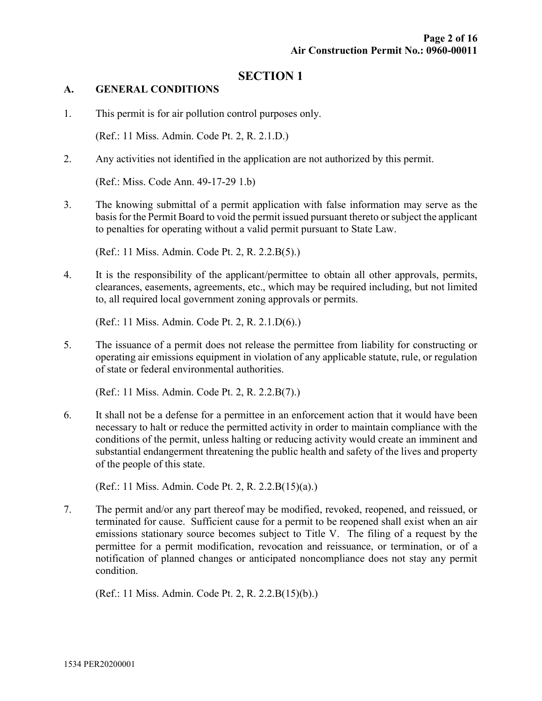#### SECTION 1

#### A. GENERAL CONDITIONS

1. This permit is for air pollution control purposes only.

(Ref.: 11 Miss. Admin. Code Pt. 2, R. 2.1.D.)

2. Any activities not identified in the application are not authorized by this permit.

(Ref.: Miss. Code Ann. 49-17-29 1.b)

3. The knowing submittal of a permit application with false information may serve as the basis for the Permit Board to void the permit issued pursuant thereto or subject the applicant to penalties for operating without a valid permit pursuant to State Law.

(Ref.: 11 Miss. Admin. Code Pt. 2, R. 2.2.B(5).)

4. It is the responsibility of the applicant/permittee to obtain all other approvals, permits, clearances, easements, agreements, etc., which may be required including, but not limited to, all required local government zoning approvals or permits.

(Ref.: 11 Miss. Admin. Code Pt. 2, R. 2.1.D(6).)

5. The issuance of a permit does not release the permittee from liability for constructing or operating air emissions equipment in violation of any applicable statute, rule, or regulation of state or federal environmental authorities.

(Ref.: 11 Miss. Admin. Code Pt. 2, R. 2.2.B(7).)

6. It shall not be a defense for a permittee in an enforcement action that it would have been necessary to halt or reduce the permitted activity in order to maintain compliance with the conditions of the permit, unless halting or reducing activity would create an imminent and substantial endangerment threatening the public health and safety of the lives and property of the people of this state.

(Ref.: 11 Miss. Admin. Code Pt. 2, R. 2.2.B(15)(a).)

7. The permit and/or any part thereof may be modified, revoked, reopened, and reissued, or terminated for cause. Sufficient cause for a permit to be reopened shall exist when an air emissions stationary source becomes subject to Title V. The filing of a request by the permittee for a permit modification, revocation and reissuance, or termination, or of a notification of planned changes or anticipated noncompliance does not stay any permit condition.

(Ref.: 11 Miss. Admin. Code Pt. 2, R. 2.2.B(15)(b).)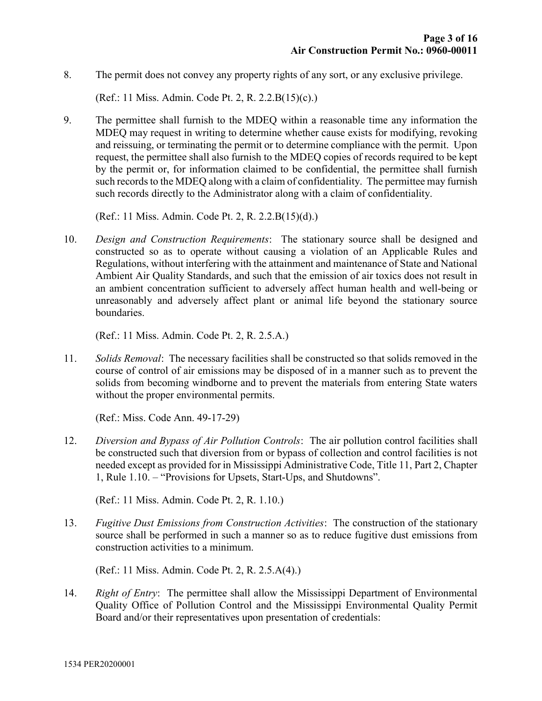8. The permit does not convey any property rights of any sort, or any exclusive privilege.

(Ref.: 11 Miss. Admin. Code Pt. 2, R. 2.2.B(15)(c).)

9. The permittee shall furnish to the MDEQ within a reasonable time any information the MDEQ may request in writing to determine whether cause exists for modifying, revoking and reissuing, or terminating the permit or to determine compliance with the permit. Upon request, the permittee shall also furnish to the MDEQ copies of records required to be kept by the permit or, for information claimed to be confidential, the permittee shall furnish such records to the MDEQ along with a claim of confidentiality. The permittee may furnish such records directly to the Administrator along with a claim of confidentiality.

(Ref.: 11 Miss. Admin. Code Pt. 2, R. 2.2.B(15)(d).)

10. Design and Construction Requirements: The stationary source shall be designed and constructed so as to operate without causing a violation of an Applicable Rules and Regulations, without interfering with the attainment and maintenance of State and National Ambient Air Quality Standards, and such that the emission of air toxics does not result in an ambient concentration sufficient to adversely affect human health and well-being or unreasonably and adversely affect plant or animal life beyond the stationary source boundaries.

(Ref.: 11 Miss. Admin. Code Pt. 2, R. 2.5.A.)

11. Solids Removal: The necessary facilities shall be constructed so that solids removed in the course of control of air emissions may be disposed of in a manner such as to prevent the solids from becoming windborne and to prevent the materials from entering State waters without the proper environmental permits.

(Ref.: Miss. Code Ann. 49-17-29)

12. Diversion and Bypass of Air Pollution Controls: The air pollution control facilities shall be constructed such that diversion from or bypass of collection and control facilities is not needed except as provided for in Mississippi Administrative Code, Title 11, Part 2, Chapter 1, Rule 1.10. – "Provisions for Upsets, Start-Ups, and Shutdowns".

(Ref.: 11 Miss. Admin. Code Pt. 2, R. 1.10.)

13. Fugitive Dust Emissions from Construction Activities: The construction of the stationary source shall be performed in such a manner so as to reduce fugitive dust emissions from construction activities to a minimum.

(Ref.: 11 Miss. Admin. Code Pt. 2, R. 2.5.A(4).)

14. Right of Entry: The permittee shall allow the Mississippi Department of Environmental Quality Office of Pollution Control and the Mississippi Environmental Quality Permit Board and/or their representatives upon presentation of credentials: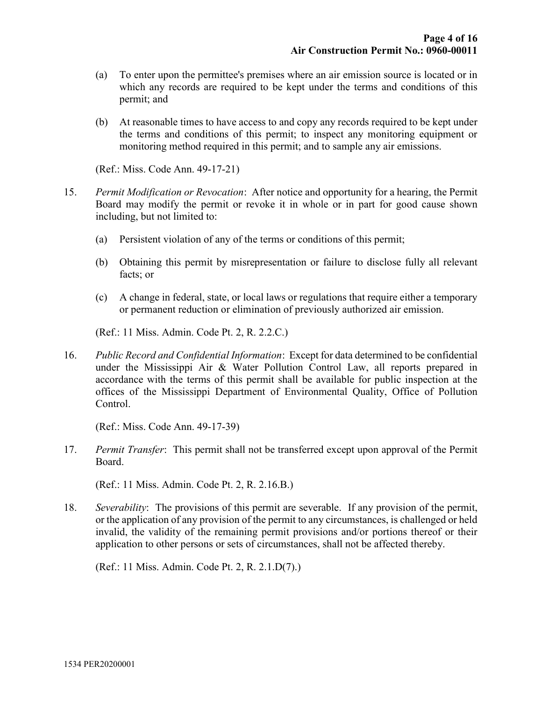- (a) To enter upon the permittee's premises where an air emission source is located or in which any records are required to be kept under the terms and conditions of this permit; and
- (b) At reasonable times to have access to and copy any records required to be kept under the terms and conditions of this permit; to inspect any monitoring equipment or monitoring method required in this permit; and to sample any air emissions.

(Ref.: Miss. Code Ann. 49-17-21)

- 15. Permit Modification or Revocation: After notice and opportunity for a hearing, the Permit Board may modify the permit or revoke it in whole or in part for good cause shown including, but not limited to:
	- (a) Persistent violation of any of the terms or conditions of this permit;
	- (b) Obtaining this permit by misrepresentation or failure to disclose fully all relevant facts; or
	- (c) A change in federal, state, or local laws or regulations that require either a temporary or permanent reduction or elimination of previously authorized air emission.

(Ref.: 11 Miss. Admin. Code Pt. 2, R. 2.2.C.)

16. Public Record and Confidential Information: Except for data determined to be confidential under the Mississippi Air & Water Pollution Control Law, all reports prepared in accordance with the terms of this permit shall be available for public inspection at the offices of the Mississippi Department of Environmental Quality, Office of Pollution Control.

(Ref.: Miss. Code Ann. 49-17-39)

17. Permit Transfer: This permit shall not be transferred except upon approval of the Permit Board.

(Ref.: 11 Miss. Admin. Code Pt. 2, R. 2.16.B.)

18. Severability: The provisions of this permit are severable. If any provision of the permit, or the application of any provision of the permit to any circumstances, is challenged or held invalid, the validity of the remaining permit provisions and/or portions thereof or their application to other persons or sets of circumstances, shall not be affected thereby.

(Ref.: 11 Miss. Admin. Code Pt. 2, R. 2.1.D(7).)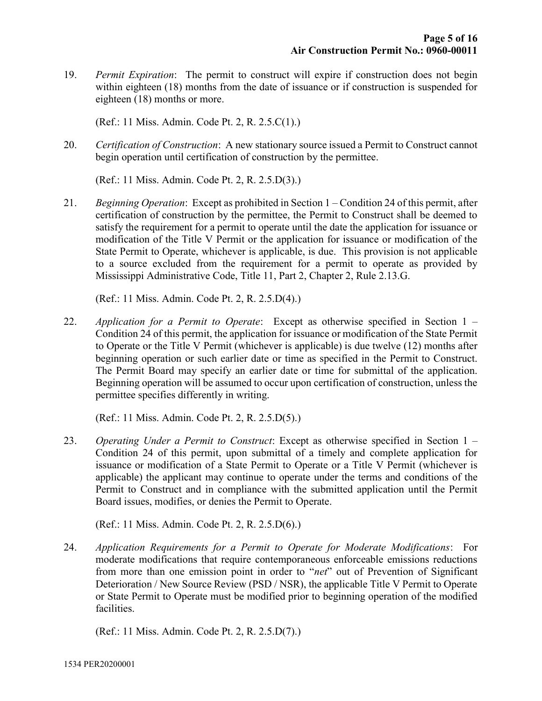19. Permit Expiration: The permit to construct will expire if construction does not begin within eighteen (18) months from the date of issuance or if construction is suspended for eighteen (18) months or more.

(Ref.: 11 Miss. Admin. Code Pt. 2, R. 2.5.C(1).)

20. Certification of Construction: A new stationary source issued a Permit to Construct cannot begin operation until certification of construction by the permittee.

(Ref.: 11 Miss. Admin. Code Pt. 2, R. 2.5.D(3).)

21. Beginning Operation: Except as prohibited in Section  $1$  – Condition 24 of this permit, after certification of construction by the permittee, the Permit to Construct shall be deemed to satisfy the requirement for a permit to operate until the date the application for issuance or modification of the Title V Permit or the application for issuance or modification of the State Permit to Operate, whichever is applicable, is due. This provision is not applicable to a source excluded from the requirement for a permit to operate as provided by Mississippi Administrative Code, Title 11, Part 2, Chapter 2, Rule 2.13.G.

(Ref.: 11 Miss. Admin. Code Pt. 2, R. 2.5.D(4).)

22. Application for a Permit to Operate: Except as otherwise specified in Section  $1 -$ Condition 24 of this permit, the application for issuance or modification of the State Permit to Operate or the Title V Permit (whichever is applicable) is due twelve (12) months after beginning operation or such earlier date or time as specified in the Permit to Construct. The Permit Board may specify an earlier date or time for submittal of the application. Beginning operation will be assumed to occur upon certification of construction, unless the permittee specifies differently in writing.

(Ref.: 11 Miss. Admin. Code Pt. 2, R. 2.5.D(5).)

23. Operating Under a Permit to Construct: Except as otherwise specified in Section 1 – Condition 24 of this permit, upon submittal of a timely and complete application for issuance or modification of a State Permit to Operate or a Title V Permit (whichever is applicable) the applicant may continue to operate under the terms and conditions of the Permit to Construct and in compliance with the submitted application until the Permit Board issues, modifies, or denies the Permit to Operate.

(Ref.: 11 Miss. Admin. Code Pt. 2, R. 2.5.D(6).)

24. Application Requirements for a Permit to Operate for Moderate Modifications: For moderate modifications that require contemporaneous enforceable emissions reductions from more than one emission point in order to "*net*" out of Prevention of Significant Deterioration / New Source Review (PSD / NSR), the applicable Title V Permit to Operate or State Permit to Operate must be modified prior to beginning operation of the modified facilities.

(Ref.: 11 Miss. Admin. Code Pt. 2, R. 2.5.D(7).)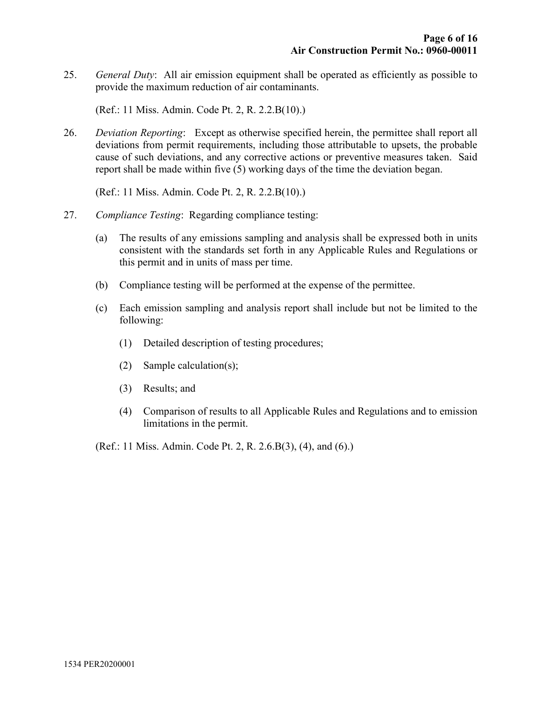25. General Duty: All air emission equipment shall be operated as efficiently as possible to provide the maximum reduction of air contaminants.

(Ref.: 11 Miss. Admin. Code Pt. 2, R. 2.2.B(10).)

26. Deviation Reporting: Except as otherwise specified herein, the permittee shall report all deviations from permit requirements, including those attributable to upsets, the probable cause of such deviations, and any corrective actions or preventive measures taken. Said report shall be made within five (5) working days of the time the deviation began.

(Ref.: 11 Miss. Admin. Code Pt. 2, R. 2.2.B(10).)

- 27. Compliance Testing: Regarding compliance testing:
	- (a) The results of any emissions sampling and analysis shall be expressed both in units consistent with the standards set forth in any Applicable Rules and Regulations or this permit and in units of mass per time.
	- (b) Compliance testing will be performed at the expense of the permittee.
	- (c) Each emission sampling and analysis report shall include but not be limited to the following:
		- (1) Detailed description of testing procedures;
		- (2) Sample calculation(s);
		- (3) Results; and
		- (4) Comparison of results to all Applicable Rules and Regulations and to emission limitations in the permit.
	- (Ref.: 11 Miss. Admin. Code Pt. 2, R. 2.6.B(3), (4), and (6).)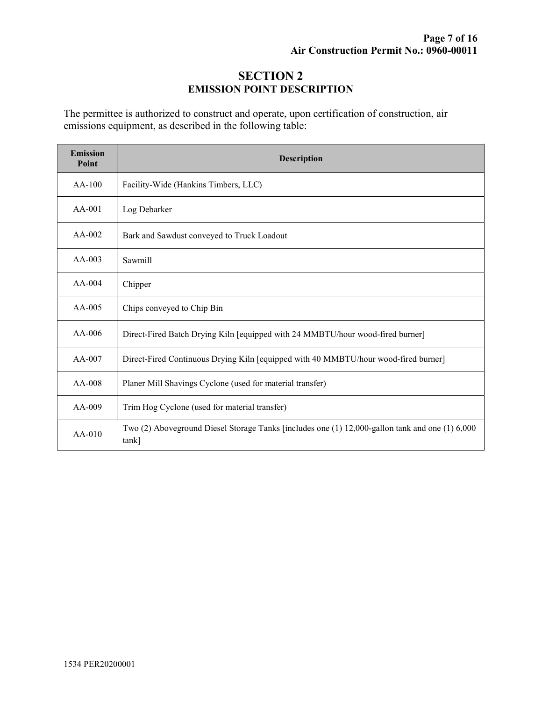## SECTION 2 EMISSION POINT DESCRIPTION

The permittee is authorized to construct and operate, upon certification of construction, air emissions equipment, as described in the following table:

| <b>Emission</b><br>Point | <b>Description</b>                                                                                       |  |  |
|--------------------------|----------------------------------------------------------------------------------------------------------|--|--|
| $AA-100$                 | Facility-Wide (Hankins Timbers, LLC)                                                                     |  |  |
| $AA-001$                 | Log Debarker                                                                                             |  |  |
| $AA-002$                 | Bark and Sawdust conveyed to Truck Loadout                                                               |  |  |
| $AA-003$                 | Sawmill                                                                                                  |  |  |
| $AA-004$                 | Chipper                                                                                                  |  |  |
| $AA-005$                 | Chips conveyed to Chip Bin                                                                               |  |  |
| AA-006                   | Direct-Fired Batch Drying Kiln [equipped with 24 MMBTU/hour wood-fired burner]                           |  |  |
| $AA-007$                 | Direct-Fired Continuous Drying Kiln [equipped with 40 MMBTU/hour wood-fired burner]                      |  |  |
| AA-008                   | Planer Mill Shavings Cyclone (used for material transfer)                                                |  |  |
| AA-009                   | Trim Hog Cyclone (used for material transfer)                                                            |  |  |
| $AA-010$                 | Two (2) Aboveground Diesel Storage Tanks [includes one (1) 12,000-gallon tank and one (1) 6,000<br>tank] |  |  |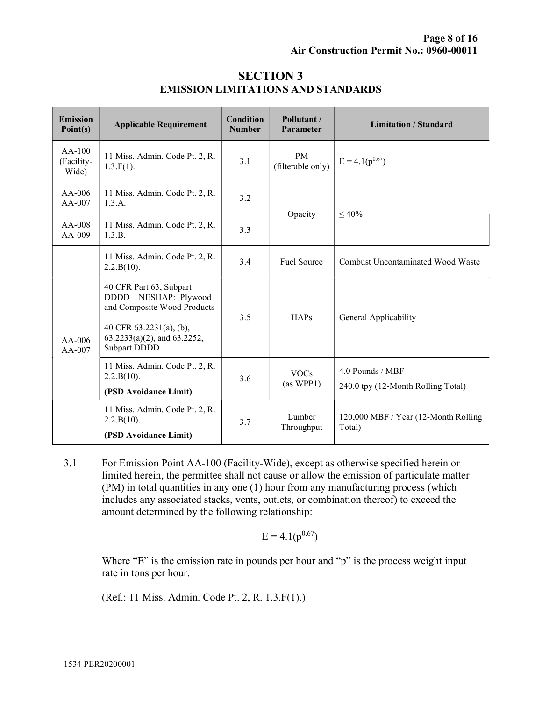| <b>Emission</b><br>Point(s)     | <b>Applicable Requirement</b>                                                                                                                                     | Condition<br><b>Number</b> | Pollutant /<br>Parameter       | <b>Limitation / Standard</b>                           |
|---------------------------------|-------------------------------------------------------------------------------------------------------------------------------------------------------------------|----------------------------|--------------------------------|--------------------------------------------------------|
| $AA-100$<br>(Facility-<br>Wide) | 11 Miss. Admin. Code Pt. 2, R.<br>$1.3.F(1)$ .                                                                                                                    | 3.1                        | <b>PM</b><br>(filterable only) | $E = 4.1(p^{0.67})$                                    |
| AA-006<br>AA-007                | 11 Miss. Admin. Code Pt. 2, R.<br>1.3.A.                                                                                                                          | 3.2                        | Opacity                        | $\leq 40\%$                                            |
| AA-008<br>AA-009                | 11 Miss. Admin. Code Pt. 2, R.<br>1.3.B.                                                                                                                          | 3.3                        |                                |                                                        |
| $AA-006$<br>AA-007              | 11 Miss. Admin. Code Pt. 2, R.<br>2.2.B(10).                                                                                                                      | 3.4                        | <b>Fuel Source</b>             | Combust Uncontaminated Wood Waste                      |
|                                 | 40 CFR Part 63, Subpart<br>DDDD-NESHAP: Plywood<br>and Composite Wood Products<br>40 CFR $63.2231(a)$ , (b),<br>$63.2233(a)(2)$ , and $63.2252$ ,<br>Subpart DDDD | 3.5                        | HAPs                           | General Applicability                                  |
|                                 | 11 Miss. Admin. Code Pt. 2, R.<br>2.2.B(10).<br>(PSD Avoidance Limit)                                                                                             | 3.6                        | <b>VOCs</b><br>(as WPP1)       | 4.0 Pounds / MBF<br>240.0 tpy (12-Month Rolling Total) |
|                                 | 11 Miss. Admin. Code Pt. 2, R.<br>2.2.B(10).<br>(PSD Avoidance Limit)                                                                                             | 3.7                        | Lumber<br>Throughput           | 120,000 MBF / Year (12-Month Rolling)<br>Total)        |

#### SECTION 3 EMISSION LIMITATIONS AND STANDARDS

3.1 For Emission Point AA-100 (Facility-Wide), except as otherwise specified herein or limited herein, the permittee shall not cause or allow the emission of particulate matter (PM) in total quantities in any one (1) hour from any manufacturing process (which includes any associated stacks, vents, outlets, or combination thereof) to exceed the amount determined by the following relationship:

$$
E = 4.1(p^{0.67})
$$

Where "E" is the emission rate in pounds per hour and "p" is the process weight input rate in tons per hour.

(Ref.: 11 Miss. Admin. Code Pt. 2, R. 1.3.F(1).)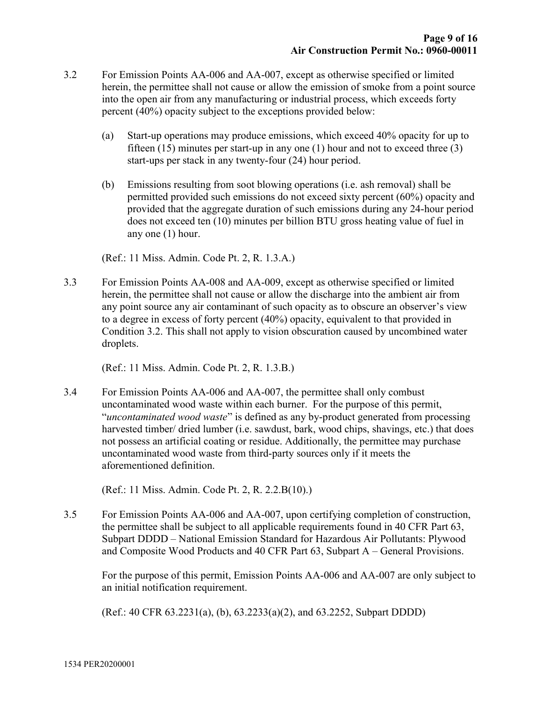- 3.2 For Emission Points AA-006 and AA-007, except as otherwise specified or limited herein, the permittee shall not cause or allow the emission of smoke from a point source into the open air from any manufacturing or industrial process, which exceeds forty percent (40%) opacity subject to the exceptions provided below:
	- (a) Start-up operations may produce emissions, which exceed 40% opacity for up to fifteen  $(15)$  minutes per start-up in any one  $(1)$  hour and not to exceed three  $(3)$ start-ups per stack in any twenty-four (24) hour period.
	- (b) Emissions resulting from soot blowing operations (i.e. ash removal) shall be permitted provided such emissions do not exceed sixty percent (60%) opacity and provided that the aggregate duration of such emissions during any 24-hour period does not exceed ten (10) minutes per billion BTU gross heating value of fuel in any one (1) hour.

(Ref.: 11 Miss. Admin. Code Pt. 2, R. 1.3.A.)

3.3 For Emission Points AA-008 and AA-009, except as otherwise specified or limited herein, the permittee shall not cause or allow the discharge into the ambient air from any point source any air contaminant of such opacity as to obscure an observer's view to a degree in excess of forty percent (40%) opacity, equivalent to that provided in Condition 3.2. This shall not apply to vision obscuration caused by uncombined water droplets.

(Ref.: 11 Miss. Admin. Code Pt. 2, R. 1.3.B.)

3.4 For Emission Points AA-006 and AA-007, the permittee shall only combust uncontaminated wood waste within each burner. For the purpose of this permit, "uncontaminated wood waste" is defined as any by-product generated from processing harvested timber/ dried lumber (i.e. sawdust, bark, wood chips, shavings, etc.) that does not possess an artificial coating or residue. Additionally, the permittee may purchase uncontaminated wood waste from third-party sources only if it meets the aforementioned definition.

(Ref.: 11 Miss. Admin. Code Pt. 2, R. 2.2.B(10).)

3.5 For Emission Points AA-006 and AA-007, upon certifying completion of construction, the permittee shall be subject to all applicable requirements found in 40 CFR Part 63, Subpart DDDD – National Emission Standard for Hazardous Air Pollutants: Plywood and Composite Wood Products and 40 CFR Part 63, Subpart A – General Provisions.

For the purpose of this permit, Emission Points AA-006 and AA-007 are only subject to an initial notification requirement.

(Ref.: 40 CFR 63.2231(a), (b), 63.2233(a)(2), and 63.2252, Subpart DDDD)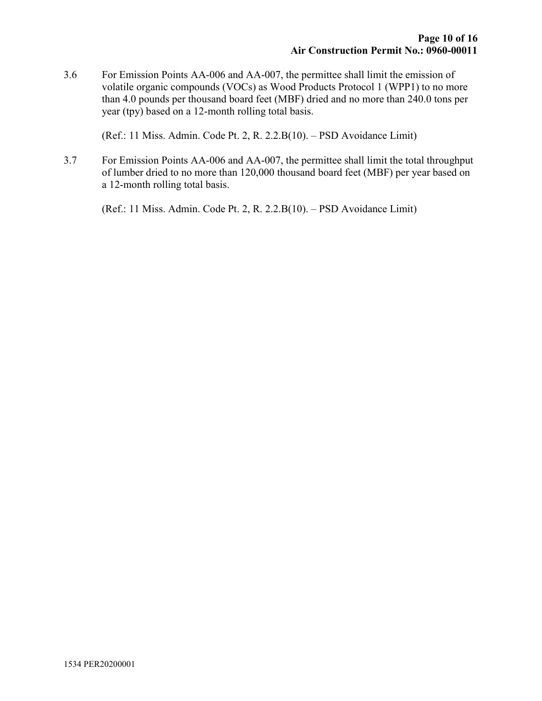3.6 For Emission Points AA-006 and AA-007, the permittee shall limit the emission of volatile organic compounds (VOCs) as Wood Products Protocol 1 (WPP1) to no more than 4.0 pounds per thousand board feet (MBF) dried and no more than 240.0 tons per year (tpy) based on a 12-month rolling total basis.

(Ref.: 11 Miss. Admin. Code Pt. 2, R. 2.2.B(10). – PSD Avoidance Limit)

3.7 For Emission Points AA-006 and AA-007, the permittee shall limit the total throughput of lumber dried to no more than 120,000 thousand board feet (MBF) per year based on a 12-month rolling total basis.

(Ref.: 11 Miss. Admin. Code Pt. 2, R. 2.2.B(10). – PSD Avoidance Limit)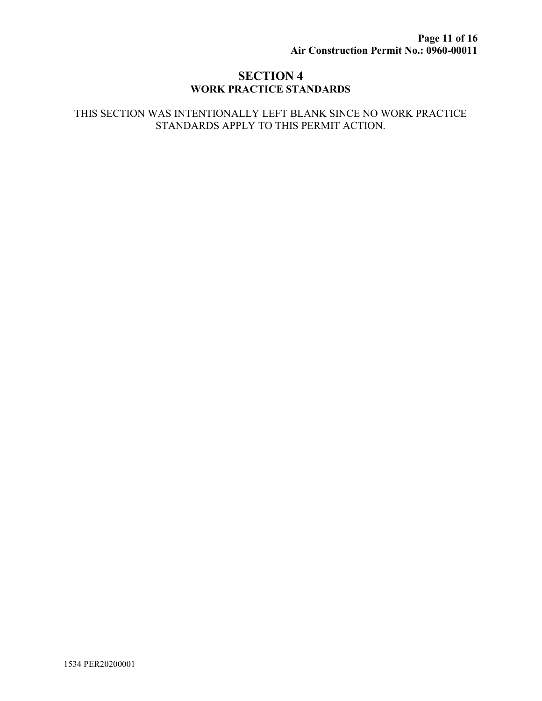#### SECTION 4 WORK PRACTICE STANDARDS

#### THIS SECTION WAS INTENTIONALLY LEFT BLANK SINCE NO WORK PRACTICE STANDARDS APPLY TO THIS PERMIT ACTION.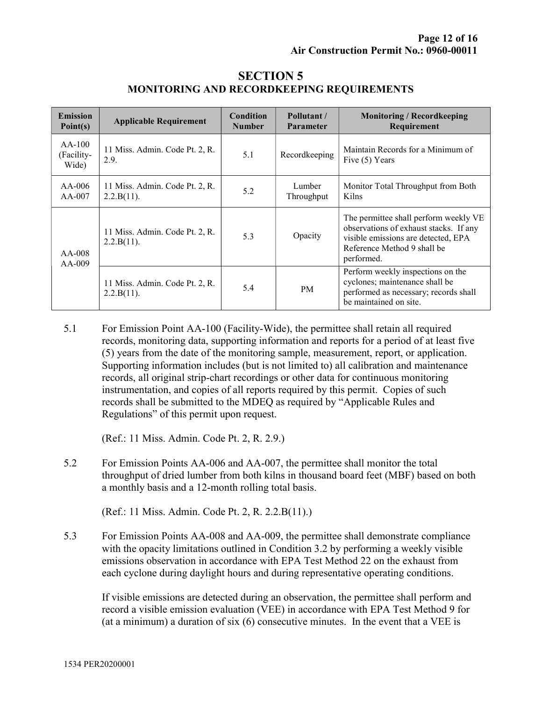| <b>Emission</b><br>Point(s)     | <b>Applicable Requirement</b>                   | Condition<br><b>Number</b> | Pollutant /<br><b>Parameter</b> | <b>Monitoring / Recordkeeping</b><br>Requirement                                                                                                                    |
|---------------------------------|-------------------------------------------------|----------------------------|---------------------------------|---------------------------------------------------------------------------------------------------------------------------------------------------------------------|
| $AA-100$<br>(Facility-<br>Wide) | 11 Miss. Admin. Code Pt. 2, R.<br>2.9.          | 5.1                        | Recordkeeping                   | Maintain Records for a Minimum of<br>Five (5) Years                                                                                                                 |
| $AA-006$<br>$AA-007$            | 11 Miss. Admin. Code Pt. 2, R.<br>2.2.B(11).    | 5.2                        | Lumber<br>Throughput            | Monitor Total Throughput from Both<br>Kilns                                                                                                                         |
| $AA-008$<br>$AA-009$            | 11 Miss. Admin. Code Pt. 2, R.<br>$2.2.B(11)$ . | 5.3                        | Opacity                         | The permittee shall perform weekly VE<br>observations of exhaust stacks. If any<br>visible emissions are detected, EPA<br>Reference Method 9 shall be<br>performed. |
|                                 | 11 Miss. Admin. Code Pt. 2, R.<br>2.2.B(11).    | 5.4                        | PM.                             | Perform weekly inspections on the<br>cyclones; maintenance shall be<br>performed as necessary; records shall<br>be maintained on site.                              |

#### SECTION 5 MONITORING AND RECORDKEEPING REQUIREMENTS

5.1 For Emission Point AA-100 (Facility-Wide), the permittee shall retain all required records, monitoring data, supporting information and reports for a period of at least five (5) years from the date of the monitoring sample, measurement, report, or application. Supporting information includes (but is not limited to) all calibration and maintenance records, all original strip-chart recordings or other data for continuous monitoring instrumentation, and copies of all reports required by this permit. Copies of such records shall be submitted to the MDEQ as required by "Applicable Rules and Regulations" of this permit upon request.

(Ref.: 11 Miss. Admin. Code Pt. 2, R. 2.9.)

5.2 For Emission Points AA-006 and AA-007, the permittee shall monitor the total throughput of dried lumber from both kilns in thousand board feet (MBF) based on both a monthly basis and a 12-month rolling total basis.

(Ref.: 11 Miss. Admin. Code Pt. 2, R. 2.2.B(11).)

5.3 For Emission Points AA-008 and AA-009, the permittee shall demonstrate compliance with the opacity limitations outlined in Condition 3.2 by performing a weekly visible emissions observation in accordance with EPA Test Method 22 on the exhaust from each cyclone during daylight hours and during representative operating conditions.

If visible emissions are detected during an observation, the permittee shall perform and record a visible emission evaluation (VEE) in accordance with EPA Test Method 9 for (at a minimum) a duration of six (6) consecutive minutes. In the event that a VEE is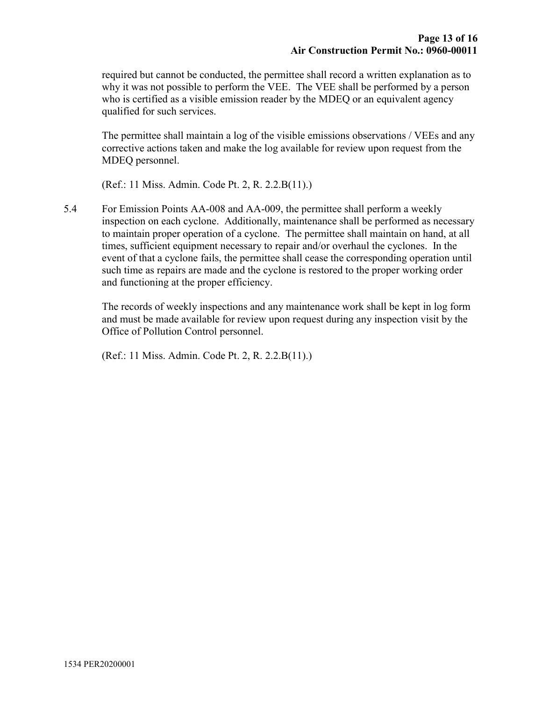required but cannot be conducted, the permittee shall record a written explanation as to why it was not possible to perform the VEE. The VEE shall be performed by a person who is certified as a visible emission reader by the MDEQ or an equivalent agency qualified for such services.

The permittee shall maintain a log of the visible emissions observations / VEEs and any corrective actions taken and make the log available for review upon request from the MDEQ personnel.

(Ref.: 11 Miss. Admin. Code Pt. 2, R. 2.2.B(11).)

5.4 For Emission Points AA-008 and AA-009, the permittee shall perform a weekly inspection on each cyclone. Additionally, maintenance shall be performed as necessary to maintain proper operation of a cyclone. The permittee shall maintain on hand, at all times, sufficient equipment necessary to repair and/or overhaul the cyclones. In the event of that a cyclone fails, the permittee shall cease the corresponding operation until such time as repairs are made and the cyclone is restored to the proper working order and functioning at the proper efficiency.

The records of weekly inspections and any maintenance work shall be kept in log form and must be made available for review upon request during any inspection visit by the Office of Pollution Control personnel.

(Ref.: 11 Miss. Admin. Code Pt. 2, R. 2.2.B(11).)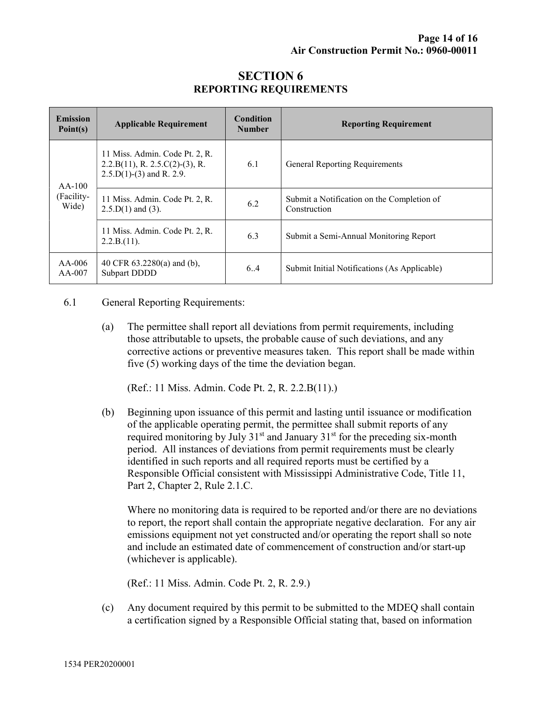| <b>Emission</b><br>Point(s)     | <b>Applicable Requirement</b>                                                                            | <b>Condition</b><br><b>Number</b> | <b>Reporting Requirement</b>                               |
|---------------------------------|----------------------------------------------------------------------------------------------------------|-----------------------------------|------------------------------------------------------------|
| $AA-100$<br>(Facility-<br>Wide) | 11 Miss. Admin. Code Pt. 2, R.<br>$2.2.B(11), R. 2.5.C(2)-(3), R.$<br>$2.5 \cdot D(1) - (3)$ and R. 2.9. | 6.1                               | General Reporting Requirements                             |
|                                 | 11 Miss. Admin. Code Pt. 2, R.<br>$2.5.D(1)$ and (3).                                                    | 6.2                               | Submit a Notification on the Completion of<br>Construction |
|                                 | 11 Miss. Admin. Code Pt. 2, R.<br>2.2.B.(11).                                                            | 6.3                               | Submit a Semi-Annual Monitoring Report                     |
| $AA-006$<br>$AA-007$            | 40 CFR $63.2280(a)$ and (b),<br><b>Subpart DDDD</b>                                                      | 6.4                               | Submit Initial Notifications (As Applicable)               |

## SECTION 6 REPORTING REQUIREMENTS

#### 6.1 General Reporting Requirements:

(a) The permittee shall report all deviations from permit requirements, including those attributable to upsets, the probable cause of such deviations, and any corrective actions or preventive measures taken. This report shall be made within five (5) working days of the time the deviation began.

(Ref.: 11 Miss. Admin. Code Pt. 2, R. 2.2.B(11).)

(b) Beginning upon issuance of this permit and lasting until issuance or modification of the applicable operating permit, the permittee shall submit reports of any required monitoring by July  $31<sup>st</sup>$  and January  $31<sup>st</sup>$  for the preceding six-month period. All instances of deviations from permit requirements must be clearly identified in such reports and all required reports must be certified by a Responsible Official consistent with Mississippi Administrative Code, Title 11, Part 2, Chapter 2, Rule 2.1.C.

Where no monitoring data is required to be reported and/or there are no deviations to report, the report shall contain the appropriate negative declaration. For any air emissions equipment not yet constructed and/or operating the report shall so note and include an estimated date of commencement of construction and/or start-up (whichever is applicable).

(Ref.: 11 Miss. Admin. Code Pt. 2, R. 2.9.)

(c) Any document required by this permit to be submitted to the MDEQ shall contain a certification signed by a Responsible Official stating that, based on information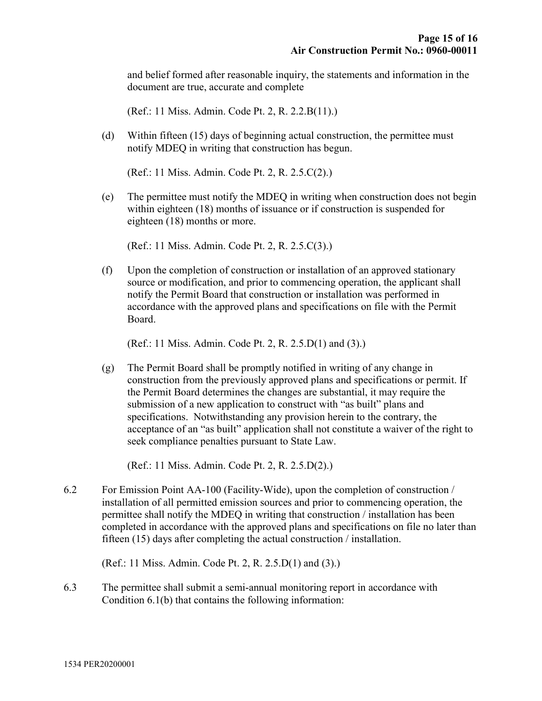and belief formed after reasonable inquiry, the statements and information in the document are true, accurate and complete

(Ref.: 11 Miss. Admin. Code Pt. 2, R. 2.2.B(11).)

(d) Within fifteen (15) days of beginning actual construction, the permittee must notify MDEQ in writing that construction has begun.

(Ref.: 11 Miss. Admin. Code Pt. 2, R. 2.5.C(2).)

(e) The permittee must notify the MDEQ in writing when construction does not begin within eighteen (18) months of issuance or if construction is suspended for eighteen (18) months or more.

(Ref.: 11 Miss. Admin. Code Pt. 2, R. 2.5.C(3).)

(f) Upon the completion of construction or installation of an approved stationary source or modification, and prior to commencing operation, the applicant shall notify the Permit Board that construction or installation was performed in accordance with the approved plans and specifications on file with the Permit Board.

(Ref.: 11 Miss. Admin. Code Pt. 2, R. 2.5.D(1) and (3).)

(g) The Permit Board shall be promptly notified in writing of any change in construction from the previously approved plans and specifications or permit. If the Permit Board determines the changes are substantial, it may require the submission of a new application to construct with "as built" plans and specifications. Notwithstanding any provision herein to the contrary, the acceptance of an "as built" application shall not constitute a waiver of the right to seek compliance penalties pursuant to State Law.

(Ref.: 11 Miss. Admin. Code Pt. 2, R. 2.5.D(2).)

6.2 For Emission Point AA-100 (Facility-Wide), upon the completion of construction / installation of all permitted emission sources and prior to commencing operation, the permittee shall notify the MDEQ in writing that construction / installation has been completed in accordance with the approved plans and specifications on file no later than fifteen (15) days after completing the actual construction / installation.

(Ref.: 11 Miss. Admin. Code Pt. 2, R. 2.5.D(1) and (3).)

6.3 The permittee shall submit a semi-annual monitoring report in accordance with Condition 6.1(b) that contains the following information: